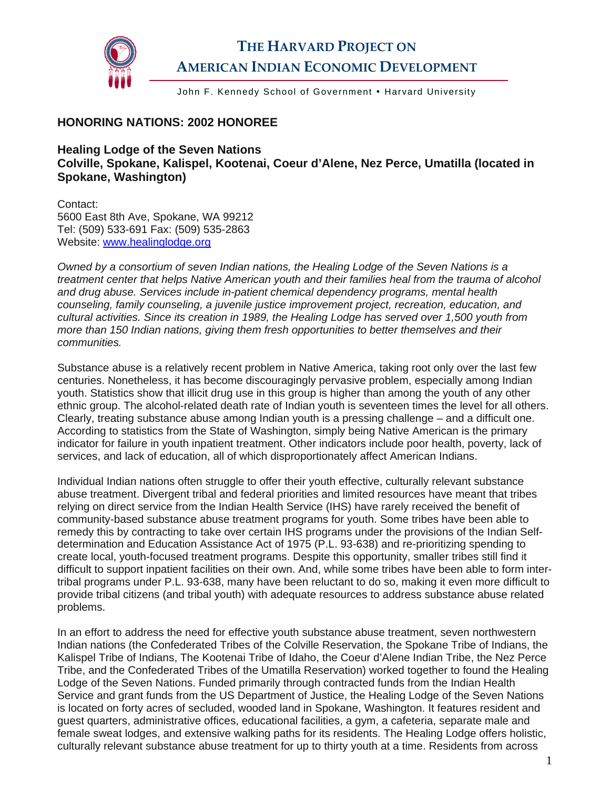

## **THE HARVARD PROJECT ON AMERICAN INDIAN ECONOMIC DEVELOPMENT**

John F. Kennedy School of Government • Harvard University

## **HONORING NATIONS: 2002 HONOREE**

**Healing Lodge of the Seven Nations Colville, Spokane, Kalispel, Kootenai, Coeur d'Alene, Nez Perce, Umatilla (located in Spokane, Washington)** 

Contact: 5600 East 8th Ave, Spokane, WA 99212 Tel: (509) 533-691 Fax: (509) 535-2863 Website: www.healinglodge.org

*Owned by a consortium of seven Indian nations, the Healing Lodge of the Seven Nations is a treatment center that helps Native American youth and their families heal from the trauma of alcohol and drug abuse. Services include in-patient chemical dependency programs, mental health counseling, family counseling, a juvenile justice improvement project, recreation, education, and cultural activities. Since its creation in 1989, the Healing Lodge has served over 1,500 youth from more than 150 Indian nations, giving them fresh opportunities to better themselves and their communities.* 

Substance abuse is a relatively recent problem in Native America, taking root only over the last few centuries. Nonetheless, it has become discouragingly pervasive problem, especially among Indian youth. Statistics show that illicit drug use in this group is higher than among the youth of any other ethnic group. The alcohol-related death rate of Indian youth is seventeen times the level for all others. Clearly, treating substance abuse among Indian youth is a pressing challenge – and a difficult one. According to statistics from the State of Washington, simply being Native American is the primary indicator for failure in youth inpatient treatment. Other indicators include poor health, poverty, lack of services, and lack of education, all of which disproportionately affect American Indians.

Individual Indian nations often struggle to offer their youth effective, culturally relevant substance abuse treatment. Divergent tribal and federal priorities and limited resources have meant that tribes relying on direct service from the Indian Health Service (IHS) have rarely received the benefit of community-based substance abuse treatment programs for youth. Some tribes have been able to remedy this by contracting to take over certain IHS programs under the provisions of the Indian Selfdetermination and Education Assistance Act of 1975 (P.L. 93-638) and re-prioritizing spending to create local, youth-focused treatment programs. Despite this opportunity, smaller tribes still find it difficult to support inpatient facilities on their own. And, while some tribes have been able to form intertribal programs under P.L. 93-638, many have been reluctant to do so, making it even more difficult to provide tribal citizens (and tribal youth) with adequate resources to address substance abuse related problems.

In an effort to address the need for effective youth substance abuse treatment, seven northwestern Indian nations (the Confederated Tribes of the Colville Reservation, the Spokane Tribe of Indians, the Kalispel Tribe of Indians, The Kootenai Tribe of Idaho, the Coeur d'Alene Indian Tribe, the Nez Perce Tribe, and the Confederated Tribes of the Umatilla Reservation) worked together to found the Healing Lodge of the Seven Nations. Funded primarily through contracted funds from the Indian Health Service and grant funds from the US Department of Justice, the Healing Lodge of the Seven Nations is located on forty acres of secluded, wooded land in Spokane, Washington. It features resident and guest quarters, administrative offices, educational facilities, a gym, a cafeteria, separate male and female sweat lodges, and extensive walking paths for its residents. The Healing Lodge offers holistic, culturally relevant substance abuse treatment for up to thirty youth at a time. Residents from across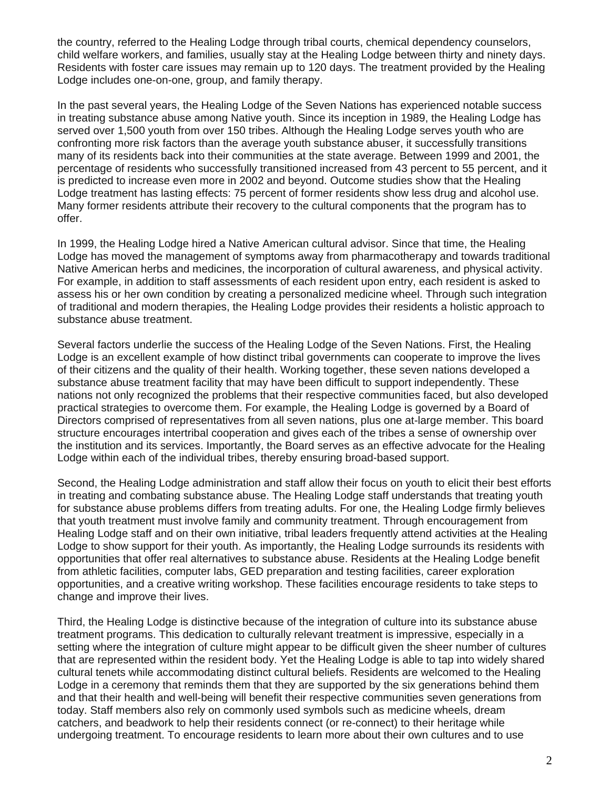the country, referred to the Healing Lodge through tribal courts, chemical dependency counselors, child welfare workers, and families, usually stay at the Healing Lodge between thirty and ninety days. Residents with foster care issues may remain up to 120 days. The treatment provided by the Healing Lodge includes one-on-one, group, and family therapy.

In the past several years, the Healing Lodge of the Seven Nations has experienced notable success in treating substance abuse among Native youth. Since its inception in 1989, the Healing Lodge has served over 1,500 youth from over 150 tribes. Although the Healing Lodge serves youth who are confronting more risk factors than the average youth substance abuser, it successfully transitions many of its residents back into their communities at the state average. Between 1999 and 2001, the percentage of residents who successfully transitioned increased from 43 percent to 55 percent, and it is predicted to increase even more in 2002 and beyond. Outcome studies show that the Healing Lodge treatment has lasting effects: 75 percent of former residents show less drug and alcohol use. Many former residents attribute their recovery to the cultural components that the program has to offer.

In 1999, the Healing Lodge hired a Native American cultural advisor. Since that time, the Healing Lodge has moved the management of symptoms away from pharmacotherapy and towards traditional Native American herbs and medicines, the incorporation of cultural awareness, and physical activity. For example, in addition to staff assessments of each resident upon entry, each resident is asked to assess his or her own condition by creating a personalized medicine wheel. Through such integration of traditional and modern therapies, the Healing Lodge provides their residents a holistic approach to substance abuse treatment.

Several factors underlie the success of the Healing Lodge of the Seven Nations. First, the Healing Lodge is an excellent example of how distinct tribal governments can cooperate to improve the lives of their citizens and the quality of their health. Working together, these seven nations developed a substance abuse treatment facility that may have been difficult to support independently. These nations not only recognized the problems that their respective communities faced, but also developed practical strategies to overcome them. For example, the Healing Lodge is governed by a Board of Directors comprised of representatives from all seven nations, plus one at-large member. This board structure encourages intertribal cooperation and gives each of the tribes a sense of ownership over the institution and its services. Importantly, the Board serves as an effective advocate for the Healing Lodge within each of the individual tribes, thereby ensuring broad-based support.

Second, the Healing Lodge administration and staff allow their focus on youth to elicit their best efforts in treating and combating substance abuse. The Healing Lodge staff understands that treating youth for substance abuse problems differs from treating adults. For one, the Healing Lodge firmly believes that youth treatment must involve family and community treatment. Through encouragement from Healing Lodge staff and on their own initiative, tribal leaders frequently attend activities at the Healing Lodge to show support for their youth. As importantly, the Healing Lodge surrounds its residents with opportunities that offer real alternatives to substance abuse. Residents at the Healing Lodge benefit from athletic facilities, computer labs, GED preparation and testing facilities, career exploration opportunities, and a creative writing workshop. These facilities encourage residents to take steps to change and improve their lives.

Third, the Healing Lodge is distinctive because of the integration of culture into its substance abuse treatment programs. This dedication to culturally relevant treatment is impressive, especially in a setting where the integration of culture might appear to be difficult given the sheer number of cultures that are represented within the resident body. Yet the Healing Lodge is able to tap into widely shared cultural tenets while accommodating distinct cultural beliefs. Residents are welcomed to the Healing Lodge in a ceremony that reminds them that they are supported by the six generations behind them and that their health and well-being will benefit their respective communities seven generations from today. Staff members also rely on commonly used symbols such as medicine wheels, dream catchers, and beadwork to help their residents connect (or re-connect) to their heritage while undergoing treatment. To encourage residents to learn more about their own cultures and to use